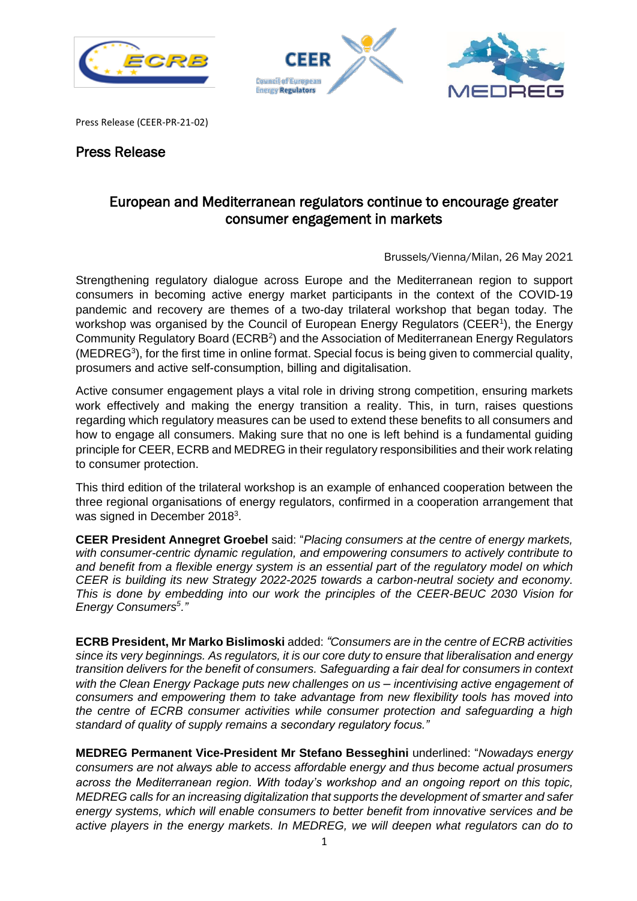





Press Release (CEER-PR-21-02)

## Press Release

## European and Mediterranean regulators continue to encourage greater consumer engagement in markets

Brussels/Vienna/Milan, 26 May 2021

Strengthening regulatory dialogue across Europe and the Mediterranean region to support consumers in becoming active energy market participants in the context of the COVID-19 pandemic and recovery are themes of a two-day trilateral workshop that began today. The workshop was organised by the Council of European Energy Regulators (CEER<sup>[1](#page-1-0)</sup>), the Energy Community Regulatory Board (ECRB<sup>[2](#page-1-1)</sup>) and the Association of Mediterranean Energy Regulators (MEDREG<sup>[3](#page-1-2)</sup>), for the first time in online format. Special focus is being given to commercial quality, prosumers and active self-consumption, billing and digitalisation.

Active consumer engagement plays a vital role in driving strong competition, ensuring markets work effectively and making the energy transition a reality. This, in turn, raises questions regarding which regulatory measures can be used to extend these benefits to all consumers and how to engage all consumers. Making sure that no one is left behind is a fundamental guiding principle for CEER, ECRB and MEDREG in their regulatory responsibilities and their work relating to consumer protection.

This third edition of the trilateral workshop is an example of enhanced cooperation between the three regional organisations of energy regulators, confirmed in a cooperation arrangement that was signed in December 2018<sup>[3](#page-1-3)</sup>.

**CEER President Annegret Groebel** said: "*Placing consumers at the centre of energy markets, with consumer-centric dynamic regulation, and empowering consumers to actively contribute to and benefit from a flexible energy system is an essential part of the regulatory model on which CEER is building its new Strategy 2022-2025 towards a carbon-neutral society and economy. This is done by embedding into our work the principles of the CEER-BEUC 2030 Vision for Energy Consumers<sup>5</sup> ."*

**ECRB President, Mr Marko Bislimoski** added: *"Consumers are in the centre of ECRB activities since its very beginnings. As regulators, it is our core duty to ensure that liberalisation and energy transition delivers for the benefit of consumers. Safeguarding a fair deal for consumers in context*  with the Clean Energy Package puts new challenges on us - incentivising active engagement of *consumers and empowering them to take advantage from new flexibility tools has moved into the centre of ECRB consumer activities while consumer protection and safeguarding a high standard of quality of supply remains a secondary regulatory focus."*

**MEDREG Permanent Vice-President Mr Stefano Besseghini** underlined: "*Nowadays energy consumers are not always able to access affordable energy and thus become actual prosumers across the Mediterranean region. With today's workshop and an ongoing report on this topic, MEDREG calls for an increasing digitalization that supports the development of smarter and safer energy systems, which will enable consumers to better benefit from innovative services and be active players in the energy markets. In MEDREG, we will deepen what regulators can do to*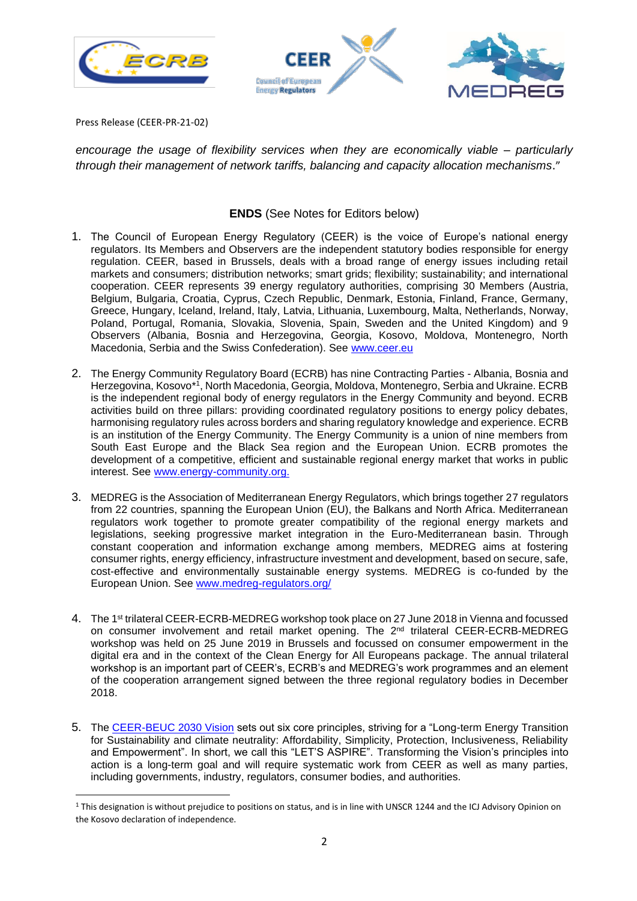



Press Release (CEER-PR-21-02)

*encourage the usage of flexibility services when they are economically viable – particularly through their management of network tariffs, balancing and capacity allocation mechanisms*."

## **ENDS** (See Notes for Editors below)

- <span id="page-1-0"></span>1. The Council of European Energy Regulatory (CEER) is the voice of Europe's national energy regulators. Its Members and Observers are the independent statutory bodies responsible for energy regulation. CEER, based in Brussels, deals with a broad range of energy issues including retail markets and consumers; distribution networks; smart grids; flexibility; sustainability; and international cooperation. CEER represents 39 energy regulatory authorities, comprising 30 Members (Austria, Belgium, Bulgaria, Croatia, Cyprus, Czech Republic, Denmark, Estonia, Finland, France, Germany, Greece, Hungary, Iceland, Ireland, Italy, Latvia, Lithuania, Luxembourg, Malta, Netherlands, Norway, Poland, Portugal, Romania, Slovakia, Slovenia, Spain, Sweden and the United Kingdom) and 9 Observers (Albania, Bosnia and Herzegovina, Georgia, Kosovo, Moldova, Montenegro, North Macedonia, Serbia and the Swiss Confederation). See [www.ceer.eu](http://www.ceer.eu/)
- <span id="page-1-1"></span>2. The Energy Community Regulatory Board (ECRB) has nine Contracting Parties - Albania, Bosnia and Herzegovina, Kosovo\*<sup>1</sup> , North Macedonia, Georgia, Moldova, Montenegro, Serbia and Ukraine. ECRB is the independent regional body of energy regulators in the Energy Community and beyond. ECRB activities build on three pillars: providing coordinated regulatory positions to energy policy debates, harmonising regulatory rules across borders and sharing regulatory knowledge and experience. ECRB is an institution of the Energy Community. The Energy Community is a union of nine members from South East Europe and the Black Sea region and the European Union. ECRB promotes the development of a competitive, efficient and sustainable regional energy market that works in public interest. See [www.energy-community.org.](http://www.energy-community.org/)
- <span id="page-1-2"></span>3. MEDREG is the Association of Mediterranean Energy Regulators, which brings together 27 regulators from 22 countries, spanning the European Union (EU), the Balkans and North Africa. Mediterranean regulators work together to promote greater compatibility of the regional energy markets and legislations, seeking progressive market integration in the Euro-Mediterranean basin. Through constant cooperation and information exchange among members, MEDREG aims at fostering consumer rights, energy efficiency, infrastructure investment and development, based on secure, safe, cost-effective and environmentally sustainable energy systems. MEDREG is co-funded by the European Union. See [www.medreg-regulators.org/](http://www.medreg-regulators.org/)
- <span id="page-1-3"></span>4. The 1<sup>st</sup> trilateral CEER-ECRB-MEDREG workshop took place on 27 June 2018 in Vienna and focussed on consumer involvement and retail market opening. The 2<sup>nd</sup> trilateral CEER-ECRB-MEDREG workshop was held on 25 June 2019 in Brussels and focussed on consumer empowerment in the digital era and in the context of the Clean Energy for All Europeans package. The annual trilateral workshop is an important part of CEER's, ECRB's and MEDREG's work programmes and an element of the cooperation arrangement signed between the three regional regulatory bodies in December 2018.
- 5. The [CEER-BEUC 2030 Vision](https://www.ceer.eu/documents/104400/-/-/3b167ae3-9a7a-fd36-a02e-c64ad7595a51) sets out six core principles, striving for a "Long-term Energy Transition for Sustainability and climate neutrality: Affordability, Simplicity, Protection, Inclusiveness, Reliability and Empowerment". In short, we call this "LET'S ASPIRE". Transforming the Vision's principles into action is a long-term goal and will require systematic work from CEER as well as many parties, including governments, industry, regulators, consumer bodies, and authorities.

<sup>&</sup>lt;sup>1</sup> This designation is without prejudice to positions on status, and is in line with UNSCR 1244 and the ICJ Advisory Opinion on the Kosovo declaration of independence.